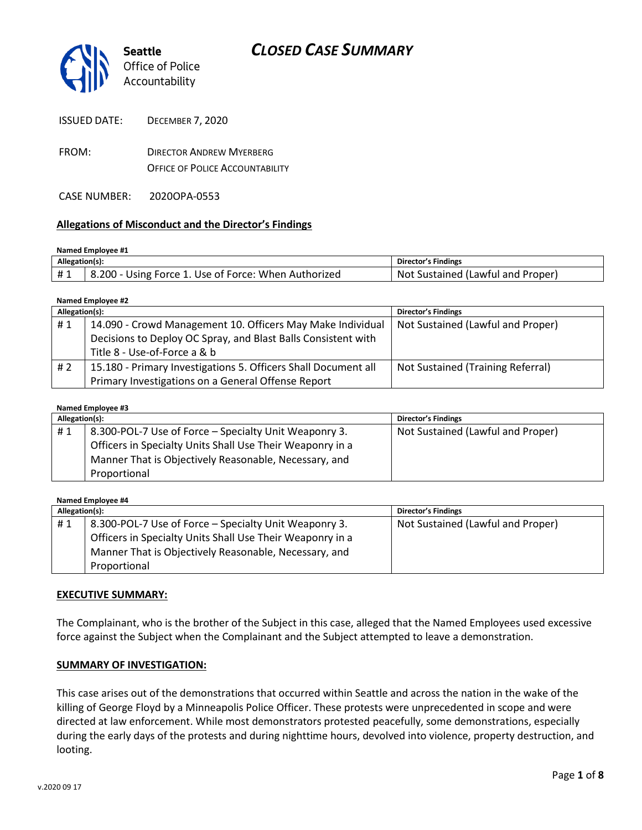

ISSUED DATE: DECEMBER 7, 2020

FROM: DIRECTOR ANDREW MYERBERG OFFICE OF POLICE ACCOUNTABILITY

CASE NUMBER: 2020OPA-0553

#### **Allegations of Misconduct and the Director's Findings**

#### **Named Employee #1**

| Allegation(s): |                                                      | Director's Findings                     |
|----------------|------------------------------------------------------|-----------------------------------------|
|                | 8.200 - Using Force 1. Use of Force: When Authorized | Not.<br>t Sustained (Lawful and Proper) |

**Named Employee #2**

| Allegation(s): |                                                                | <b>Director's Findings</b>        |
|----------------|----------------------------------------------------------------|-----------------------------------|
| #1             | 14.090 - Crowd Management 10. Officers May Make Individual     | Not Sustained (Lawful and Proper) |
|                | Decisions to Deploy OC Spray, and Blast Balls Consistent with  |                                   |
|                | Title 8 - Use-of-Force a & b                                   |                                   |
| #2             | 15.180 - Primary Investigations 5. Officers Shall Document all | Not Sustained (Training Referral) |
|                | Primary Investigations on a General Offense Report             |                                   |

#### **Named Employee #3**

| Allegation(s): |                                                           | <b>Director's Findings</b>        |
|----------------|-----------------------------------------------------------|-----------------------------------|
| #1             | 8.300-POL-7 Use of Force – Specialty Unit Weaponry 3.     | Not Sustained (Lawful and Proper) |
|                | Officers in Specialty Units Shall Use Their Weaponry in a |                                   |
|                | Manner That is Objectively Reasonable, Necessary, and     |                                   |
|                | Proportional                                              |                                   |

| Named Employee #4 |                                                           |                                   |  |  |
|-------------------|-----------------------------------------------------------|-----------------------------------|--|--|
| Allegation(s):    |                                                           | <b>Director's Findings</b>        |  |  |
| #1                | 8.300-POL-7 Use of Force – Specialty Unit Weaponry 3.     | Not Sustained (Lawful and Proper) |  |  |
|                   | Officers in Specialty Units Shall Use Their Weaponry in a |                                   |  |  |
|                   | Manner That is Objectively Reasonable, Necessary, and     |                                   |  |  |
|                   | Proportional                                              |                                   |  |  |

#### **EXECUTIVE SUMMARY:**

The Complainant, who is the brother of the Subject in this case, alleged that the Named Employees used excessive force against the Subject when the Complainant and the Subject attempted to leave a demonstration.

#### **SUMMARY OF INVESTIGATION:**

This case arises out of the demonstrations that occurred within Seattle and across the nation in the wake of the killing of George Floyd by a Minneapolis Police Officer. These protests were unprecedented in scope and were directed at law enforcement. While most demonstrators protested peacefully, some demonstrations, especially during the early days of the protests and during nighttime hours, devolved into violence, property destruction, and looting.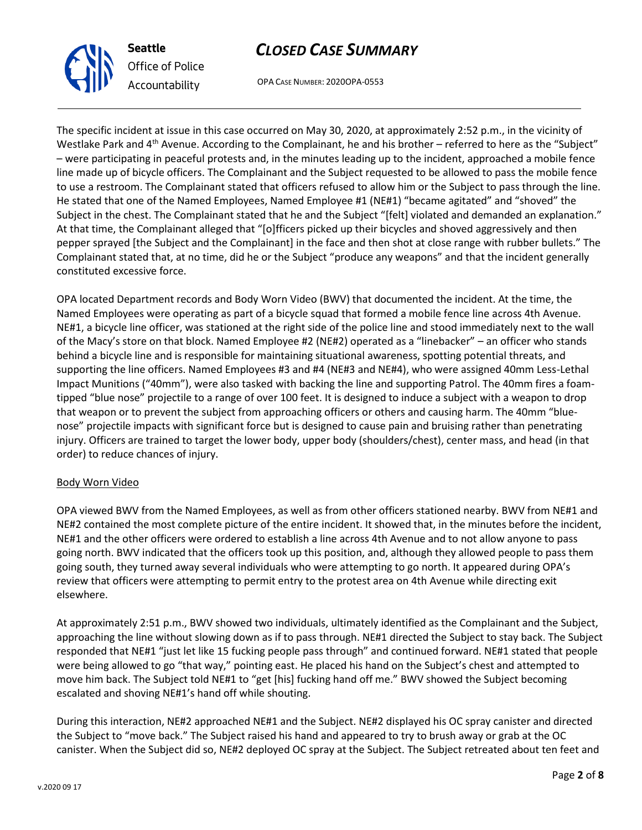OPA CASE NUMBER: 2020OPA-0553

The specific incident at issue in this case occurred on May 30, 2020, at approximately 2:52 p.m., in the vicinity of Westlake Park and 4<sup>th</sup> Avenue. According to the Complainant, he and his brother – referred to here as the "Subject" – were participating in peaceful protests and, in the minutes leading up to the incident, approached a mobile fence line made up of bicycle officers. The Complainant and the Subject requested to be allowed to pass the mobile fence to use a restroom. The Complainant stated that officers refused to allow him or the Subject to pass through the line. He stated that one of the Named Employees, Named Employee #1 (NE#1) "became agitated" and "shoved" the Subject in the chest. The Complainant stated that he and the Subject "[felt] violated and demanded an explanation." At that time, the Complainant alleged that "[o]fficers picked up their bicycles and shoved aggressively and then pepper sprayed [the Subject and the Complainant] in the face and then shot at close range with rubber bullets." The Complainant stated that, at no time, did he or the Subject "produce any weapons" and that the incident generally constituted excessive force.

OPA located Department records and Body Worn Video (BWV) that documented the incident. At the time, the Named Employees were operating as part of a bicycle squad that formed a mobile fence line across 4th Avenue. NE#1, a bicycle line officer, was stationed at the right side of the police line and stood immediately next to the wall of the Macy's store on that block. Named Employee #2 (NE#2) operated as a "linebacker" – an officer who stands behind a bicycle line and is responsible for maintaining situational awareness, spotting potential threats, and supporting the line officers. Named Employees #3 and #4 (NE#3 and NE#4), who were assigned 40mm Less-Lethal Impact Munitions ("40mm"), were also tasked with backing the line and supporting Patrol. The 40mm fires a foamtipped "blue nose" projectile to a range of over 100 feet. It is designed to induce a subject with a weapon to drop that weapon or to prevent the subject from approaching officers or others and causing harm. The 40mm "bluenose" projectile impacts with significant force but is designed to cause pain and bruising rather than penetrating injury. Officers are trained to target the lower body, upper body (shoulders/chest), center mass, and head (in that order) to reduce chances of injury.

#### Body Worn Video

OPA viewed BWV from the Named Employees, as well as from other officers stationed nearby. BWV from NE#1 and NE#2 contained the most complete picture of the entire incident. It showed that, in the minutes before the incident, NE#1 and the other officers were ordered to establish a line across 4th Avenue and to not allow anyone to pass going north. BWV indicated that the officers took up this position, and, although they allowed people to pass them going south, they turned away several individuals who were attempting to go north. It appeared during OPA's review that officers were attempting to permit entry to the protest area on 4th Avenue while directing exit elsewhere.

At approximately 2:51 p.m., BWV showed two individuals, ultimately identified as the Complainant and the Subject, approaching the line without slowing down as if to pass through. NE#1 directed the Subject to stay back. The Subject responded that NE#1 "just let like 15 fucking people pass through" and continued forward. NE#1 stated that people were being allowed to go "that way," pointing east. He placed his hand on the Subject's chest and attempted to move him back. The Subject told NE#1 to "get [his] fucking hand off me." BWV showed the Subject becoming escalated and shoving NE#1's hand off while shouting.

During this interaction, NE#2 approached NE#1 and the Subject. NE#2 displayed his OC spray canister and directed the Subject to "move back." The Subject raised his hand and appeared to try to brush away or grab at the OC canister. When the Subject did so, NE#2 deployed OC spray at the Subject. The Subject retreated about ten feet and



**Seattle**

*Office of Police Accountability*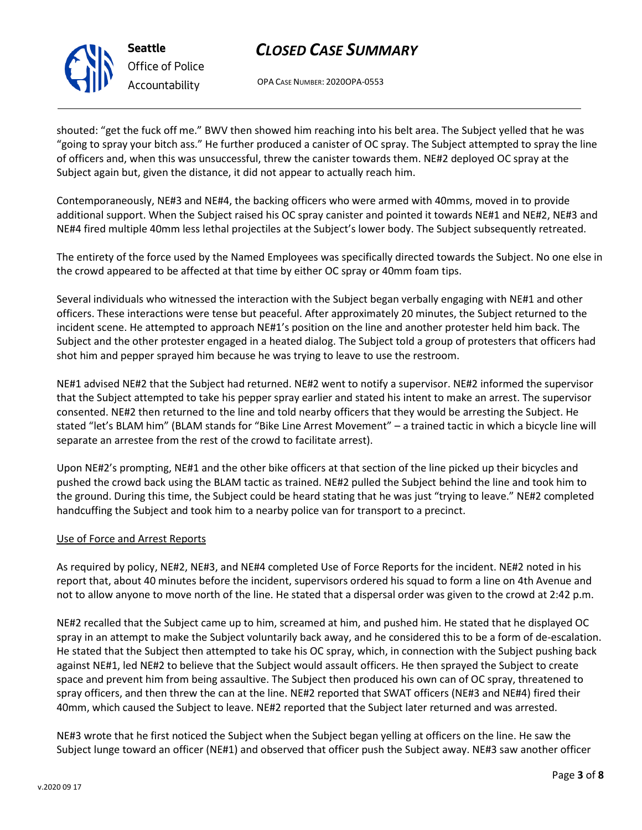

**Seattle** *Office of Police Accountability*

# *CLOSED CASE SUMMARY*

OPA CASE NUMBER: 2020OPA-0553

shouted: "get the fuck off me." BWV then showed him reaching into his belt area. The Subject yelled that he was "going to spray your bitch ass." He further produced a canister of OC spray. The Subject attempted to spray the line of officers and, when this was unsuccessful, threw the canister towards them. NE#2 deployed OC spray at the Subject again but, given the distance, it did not appear to actually reach him.

Contemporaneously, NE#3 and NE#4, the backing officers who were armed with 40mms, moved in to provide additional support. When the Subject raised his OC spray canister and pointed it towards NE#1 and NE#2, NE#3 and NE#4 fired multiple 40mm less lethal projectiles at the Subject's lower body. The Subject subsequently retreated.

The entirety of the force used by the Named Employees was specifically directed towards the Subject. No one else in the crowd appeared to be affected at that time by either OC spray or 40mm foam tips.

Several individuals who witnessed the interaction with the Subject began verbally engaging with NE#1 and other officers. These interactions were tense but peaceful. After approximately 20 minutes, the Subject returned to the incident scene. He attempted to approach NE#1's position on the line and another protester held him back. The Subject and the other protester engaged in a heated dialog. The Subject told a group of protesters that officers had shot him and pepper sprayed him because he was trying to leave to use the restroom.

NE#1 advised NE#2 that the Subject had returned. NE#2 went to notify a supervisor. NE#2 informed the supervisor that the Subject attempted to take his pepper spray earlier and stated his intent to make an arrest. The supervisor consented. NE#2 then returned to the line and told nearby officers that they would be arresting the Subject. He stated "let's BLAM him" (BLAM stands for "Bike Line Arrest Movement" – a trained tactic in which a bicycle line will separate an arrestee from the rest of the crowd to facilitate arrest).

Upon NE#2's prompting, NE#1 and the other bike officers at that section of the line picked up their bicycles and pushed the crowd back using the BLAM tactic as trained. NE#2 pulled the Subject behind the line and took him to the ground. During this time, the Subject could be heard stating that he was just "trying to leave." NE#2 completed handcuffing the Subject and took him to a nearby police van for transport to a precinct.

### Use of Force and Arrest Reports

As required by policy, NE#2, NE#3, and NE#4 completed Use of Force Reports for the incident. NE#2 noted in his report that, about 40 minutes before the incident, supervisors ordered his squad to form a line on 4th Avenue and not to allow anyone to move north of the line. He stated that a dispersal order was given to the crowd at 2:42 p.m.

NE#2 recalled that the Subject came up to him, screamed at him, and pushed him. He stated that he displayed OC spray in an attempt to make the Subject voluntarily back away, and he considered this to be a form of de-escalation. He stated that the Subject then attempted to take his OC spray, which, in connection with the Subject pushing back against NE#1, led NE#2 to believe that the Subject would assault officers. He then sprayed the Subject to create space and prevent him from being assaultive. The Subject then produced his own can of OC spray, threatened to spray officers, and then threw the can at the line. NE#2 reported that SWAT officers (NE#3 and NE#4) fired their 40mm, which caused the Subject to leave. NE#2 reported that the Subject later returned and was arrested.

NE#3 wrote that he first noticed the Subject when the Subject began yelling at officers on the line. He saw the Subject lunge toward an officer (NE#1) and observed that officer push the Subject away. NE#3 saw another officer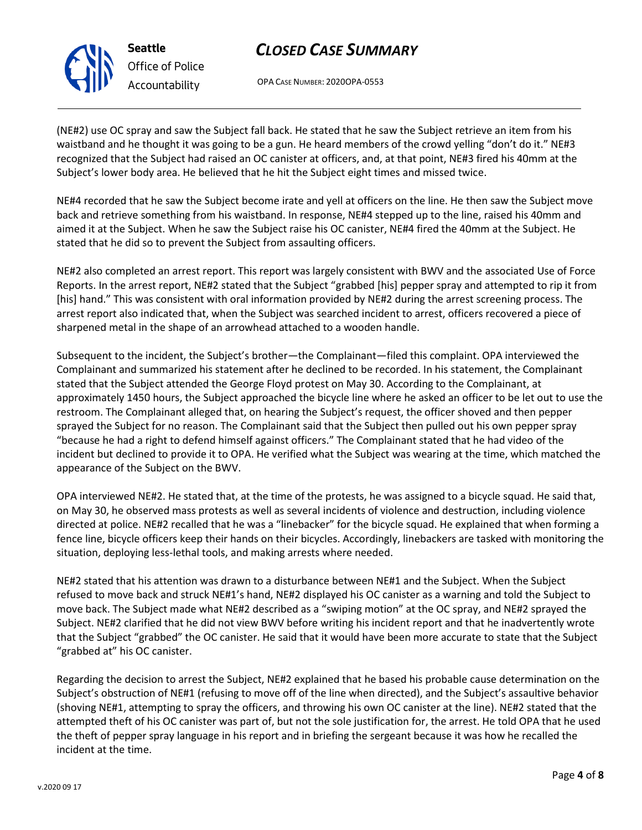OPA CASE NUMBER: 2020OPA-0553

(NE#2) use OC spray and saw the Subject fall back. He stated that he saw the Subject retrieve an item from his waistband and he thought it was going to be a gun. He heard members of the crowd yelling "don't do it." NE#3 recognized that the Subject had raised an OC canister at officers, and, at that point, NE#3 fired his 40mm at the Subject's lower body area. He believed that he hit the Subject eight times and missed twice.

NE#4 recorded that he saw the Subject become irate and yell at officers on the line. He then saw the Subject move back and retrieve something from his waistband. In response, NE#4 stepped up to the line, raised his 40mm and aimed it at the Subject. When he saw the Subject raise his OC canister, NE#4 fired the 40mm at the Subject. He stated that he did so to prevent the Subject from assaulting officers.

NE#2 also completed an arrest report. This report was largely consistent with BWV and the associated Use of Force Reports. In the arrest report, NE#2 stated that the Subject "grabbed [his] pepper spray and attempted to rip it from [his] hand." This was consistent with oral information provided by NE#2 during the arrest screening process. The arrest report also indicated that, when the Subject was searched incident to arrest, officers recovered a piece of sharpened metal in the shape of an arrowhead attached to a wooden handle.

Subsequent to the incident, the Subject's brother—the Complainant—filed this complaint. OPA interviewed the Complainant and summarized his statement after he declined to be recorded. In his statement, the Complainant stated that the Subject attended the George Floyd protest on May 30. According to the Complainant, at approximately 1450 hours, the Subject approached the bicycle line where he asked an officer to be let out to use the restroom. The Complainant alleged that, on hearing the Subject's request, the officer shoved and then pepper sprayed the Subject for no reason. The Complainant said that the Subject then pulled out his own pepper spray "because he had a right to defend himself against officers." The Complainant stated that he had video of the incident but declined to provide it to OPA. He verified what the Subject was wearing at the time, which matched the appearance of the Subject on the BWV.

OPA interviewed NE#2. He stated that, at the time of the protests, he was assigned to a bicycle squad. He said that, on May 30, he observed mass protests as well as several incidents of violence and destruction, including violence directed at police. NE#2 recalled that he was a "linebacker" for the bicycle squad. He explained that when forming a fence line, bicycle officers keep their hands on their bicycles. Accordingly, linebackers are tasked with monitoring the situation, deploying less-lethal tools, and making arrests where needed.

NE#2 stated that his attention was drawn to a disturbance between NE#1 and the Subject. When the Subject refused to move back and struck NE#1's hand, NE#2 displayed his OC canister as a warning and told the Subject to move back. The Subject made what NE#2 described as a "swiping motion" at the OC spray, and NE#2 sprayed the Subject. NE#2 clarified that he did not view BWV before writing his incident report and that he inadvertently wrote that the Subject "grabbed" the OC canister. He said that it would have been more accurate to state that the Subject "grabbed at" his OC canister.

Regarding the decision to arrest the Subject, NE#2 explained that he based his probable cause determination on the Subject's obstruction of NE#1 (refusing to move off of the line when directed), and the Subject's assaultive behavior (shoving NE#1, attempting to spray the officers, and throwing his own OC canister at the line). NE#2 stated that the attempted theft of his OC canister was part of, but not the sole justification for, the arrest. He told OPA that he used the theft of pepper spray language in his report and in briefing the sergeant because it was how he recalled the incident at the time.



**Seattle**

*Office of Police Accountability*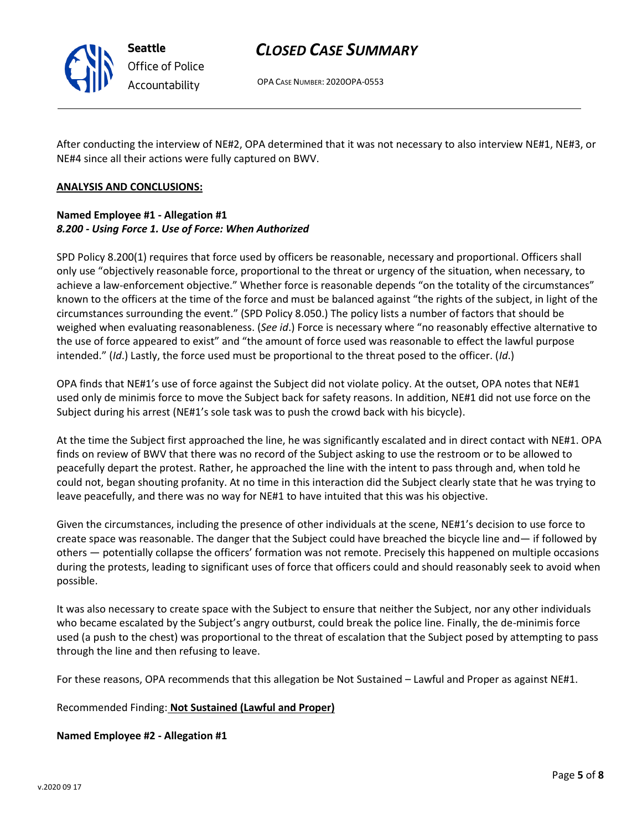

**Seattle** *Office of Police Accountability*

# *CLOSED CASE SUMMARY*

OPA CASE NUMBER: 2020OPA-0553

After conducting the interview of NE#2, OPA determined that it was not necessary to also interview NE#1, NE#3, or NE#4 since all their actions were fully captured on BWV.

### **ANALYSIS AND CONCLUSIONS:**

### **Named Employee #1 - Allegation #1** *8.200 - Using Force 1. Use of Force: When Authorized*

SPD Policy 8.200(1) requires that force used by officers be reasonable, necessary and proportional. Officers shall only use "objectively reasonable force, proportional to the threat or urgency of the situation, when necessary, to achieve a law-enforcement objective." Whether force is reasonable depends "on the totality of the circumstances" known to the officers at the time of the force and must be balanced against "the rights of the subject, in light of the circumstances surrounding the event." (SPD Policy 8.050.) The policy lists a number of factors that should be weighed when evaluating reasonableness. (*See id*.) Force is necessary where "no reasonably effective alternative to the use of force appeared to exist" and "the amount of force used was reasonable to effect the lawful purpose intended." (*Id*.) Lastly, the force used must be proportional to the threat posed to the officer. (*Id*.)

OPA finds that NE#1's use of force against the Subject did not violate policy. At the outset, OPA notes that NE#1 used only de minimis force to move the Subject back for safety reasons. In addition, NE#1 did not use force on the Subject during his arrest (NE#1's sole task was to push the crowd back with his bicycle).

At the time the Subject first approached the line, he was significantly escalated and in direct contact with NE#1. OPA finds on review of BWV that there was no record of the Subject asking to use the restroom or to be allowed to peacefully depart the protest. Rather, he approached the line with the intent to pass through and, when told he could not, began shouting profanity. At no time in this interaction did the Subject clearly state that he was trying to leave peacefully, and there was no way for NE#1 to have intuited that this was his objective.

Given the circumstances, including the presence of other individuals at the scene, NE#1's decision to use force to create space was reasonable. The danger that the Subject could have breached the bicycle line and— if followed by others — potentially collapse the officers' formation was not remote. Precisely this happened on multiple occasions during the protests, leading to significant uses of force that officers could and should reasonably seek to avoid when possible.

It was also necessary to create space with the Subject to ensure that neither the Subject, nor any other individuals who became escalated by the Subject's angry outburst, could break the police line. Finally, the de-minimis force used (a push to the chest) was proportional to the threat of escalation that the Subject posed by attempting to pass through the line and then refusing to leave.

For these reasons, OPA recommends that this allegation be Not Sustained – Lawful and Proper as against NE#1.

### Recommended Finding: **Not Sustained (Lawful and Proper)**

#### **Named Employee #2 - Allegation #1**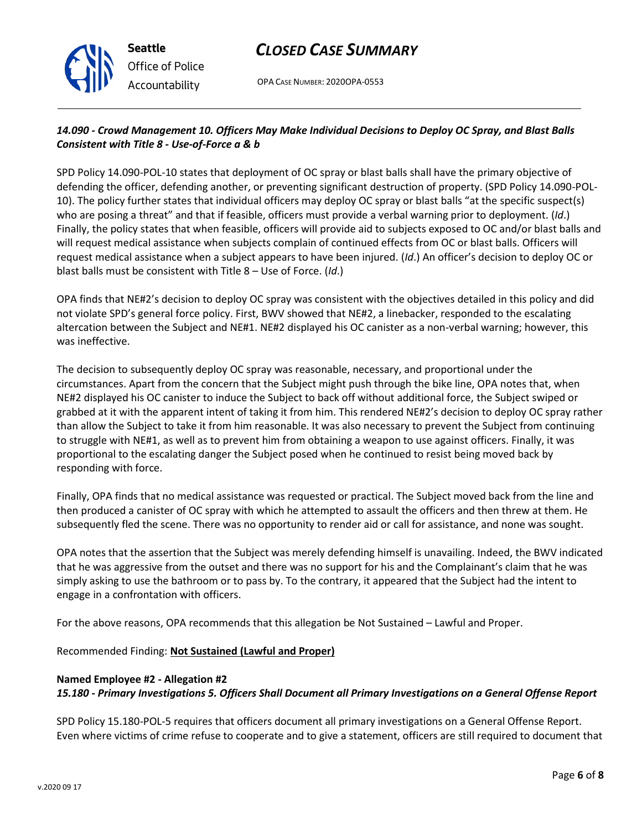

OPA CASE NUMBER: 2020OPA-0553

## *14.090 - Crowd Management 10. Officers May Make Individual Decisions to Deploy OC Spray, and Blast Balls Consistent with Title 8 - Use-of-Force a & b*

SPD Policy 14.090-POL-10 states that deployment of OC spray or blast balls shall have the primary objective of defending the officer, defending another, or preventing significant destruction of property. (SPD Policy 14.090-POL-10). The policy further states that individual officers may deploy OC spray or blast balls "at the specific suspect(s) who are posing a threat" and that if feasible, officers must provide a verbal warning prior to deployment. (*Id*.) Finally, the policy states that when feasible, officers will provide aid to subjects exposed to OC and/or blast balls and will request medical assistance when subjects complain of continued effects from OC or blast balls. Officers will request medical assistance when a subject appears to have been injured. (*Id*.) An officer's decision to deploy OC or blast balls must be consistent with Title 8 – Use of Force. (*Id*.)

OPA finds that NE#2's decision to deploy OC spray was consistent with the objectives detailed in this policy and did not violate SPD's general force policy. First, BWV showed that NE#2, a linebacker, responded to the escalating altercation between the Subject and NE#1. NE#2 displayed his OC canister as a non-verbal warning; however, this was ineffective.

The decision to subsequently deploy OC spray was reasonable, necessary, and proportional under the circumstances. Apart from the concern that the Subject might push through the bike line, OPA notes that, when NE#2 displayed his OC canister to induce the Subject to back off without additional force, the Subject swiped or grabbed at it with the apparent intent of taking it from him. This rendered NE#2's decision to deploy OC spray rather than allow the Subject to take it from him reasonable. It was also necessary to prevent the Subject from continuing to struggle with NE#1, as well as to prevent him from obtaining a weapon to use against officers. Finally, it was proportional to the escalating danger the Subject posed when he continued to resist being moved back by responding with force.

Finally, OPA finds that no medical assistance was requested or practical. The Subject moved back from the line and then produced a canister of OC spray with which he attempted to assault the officers and then threw at them. He subsequently fled the scene. There was no opportunity to render aid or call for assistance, and none was sought.

OPA notes that the assertion that the Subject was merely defending himself is unavailing. Indeed, the BWV indicated that he was aggressive from the outset and there was no support for his and the Complainant's claim that he was simply asking to use the bathroom or to pass by. To the contrary, it appeared that the Subject had the intent to engage in a confrontation with officers.

For the above reasons, OPA recommends that this allegation be Not Sustained – Lawful and Proper.

Recommended Finding: **Not Sustained (Lawful and Proper)**

#### **Named Employee #2 - Allegation #2**

*15.180 - Primary Investigations 5. Officers Shall Document all Primary Investigations on a General Offense Report*

SPD Policy 15.180-POL-5 requires that officers document all primary investigations on a General Offense Report. Even where victims of crime refuse to cooperate and to give a statement, officers are still required to document that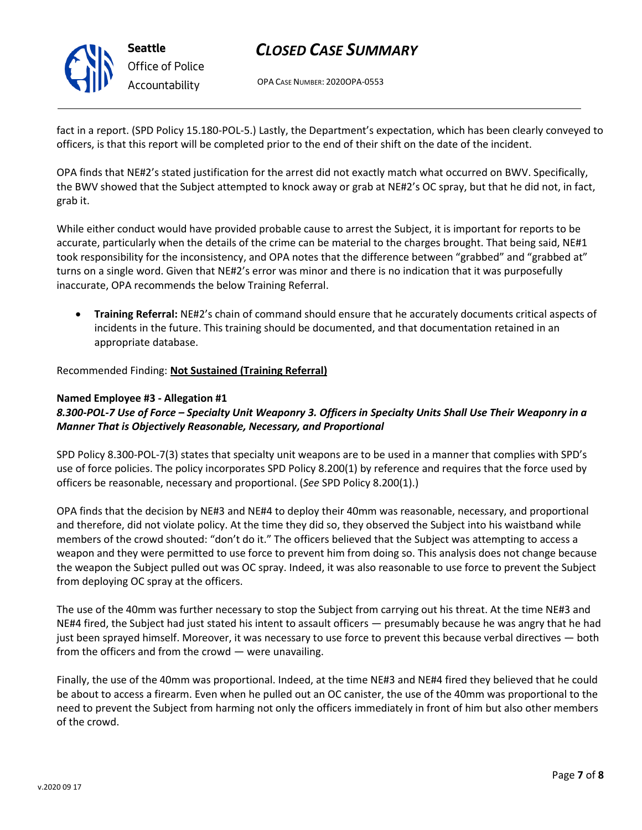

OPA CASE NUMBER: 2020OPA-0553

fact in a report. (SPD Policy 15.180-POL-5.) Lastly, the Department's expectation, which has been clearly conveyed to officers, is that this report will be completed prior to the end of their shift on the date of the incident.

OPA finds that NE#2's stated justification for the arrest did not exactly match what occurred on BWV. Specifically, the BWV showed that the Subject attempted to knock away or grab at NE#2's OC spray, but that he did not, in fact, grab it.

While either conduct would have provided probable cause to arrest the Subject, it is important for reports to be accurate, particularly when the details of the crime can be material to the charges brought. That being said, NE#1 took responsibility for the inconsistency, and OPA notes that the difference between "grabbed" and "grabbed at" turns on a single word. Given that NE#2's error was minor and there is no indication that it was purposefully inaccurate, OPA recommends the below Training Referral.

• **Training Referral:** NE#2's chain of command should ensure that he accurately documents critical aspects of incidents in the future. This training should be documented, and that documentation retained in an appropriate database.

Recommended Finding: **Not Sustained (Training Referral)**

### **Named Employee #3 - Allegation #1**

### *8.300-POL-7 Use of Force – Specialty Unit Weaponry 3. Officers in Specialty Units Shall Use Their Weaponry in a Manner That is Objectively Reasonable, Necessary, and Proportional*

SPD Policy 8.300-POL-7(3) states that specialty unit weapons are to be used in a manner that complies with SPD's use of force policies. The policy incorporates SPD Policy 8.200(1) by reference and requires that the force used by officers be reasonable, necessary and proportional. (*See* SPD Policy 8.200(1).)

OPA finds that the decision by NE#3 and NE#4 to deploy their 40mm was reasonable, necessary, and proportional and therefore, did not violate policy. At the time they did so, they observed the Subject into his waistband while members of the crowd shouted: "don't do it." The officers believed that the Subject was attempting to access a weapon and they were permitted to use force to prevent him from doing so. This analysis does not change because the weapon the Subject pulled out was OC spray. Indeed, it was also reasonable to use force to prevent the Subject from deploying OC spray at the officers.

The use of the 40mm was further necessary to stop the Subject from carrying out his threat. At the time NE#3 and NE#4 fired, the Subject had just stated his intent to assault officers — presumably because he was angry that he had just been sprayed himself. Moreover, it was necessary to use force to prevent this because verbal directives — both from the officers and from the crowd — were unavailing.

Finally, the use of the 40mm was proportional. Indeed, at the time NE#3 and NE#4 fired they believed that he could be about to access a firearm. Even when he pulled out an OC canister, the use of the 40mm was proportional to the need to prevent the Subject from harming not only the officers immediately in front of him but also other members of the crowd.